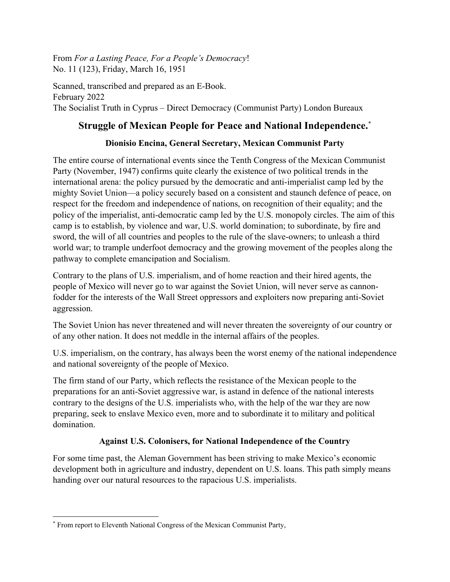From *For a Lasting Peace, For a People's Democracy*! No. 11 (123), Friday, March 16, 1951

Scanned, transcribed and prepared as an E-Book. February 2022 The Socialist Truth in Cyprus – Direct Democracy (Communist Party) London Bureaux

# **Struggle of Mexican People for Peace and National Independence.**[\\*](#page-0-0)

## **Dionisio Encina, General Secretary, Mexican Communist Party**

The entire course of international events since the Tenth Congress of the Mexican Communist Party (November, 1947) confirms quite clearly the existence of two political trends in the international arena: the policy pursued by the democratic and anti-imperialist camp led by the mighty Soviet Union—a policy securely based on a consistent and staunch defence of peace, on respect for the freedom and independence of nations, on recognition of their equality; and the policy of the imperialist, anti-democratic camp led by the U.S. monopoly circles. The aim of this camp is to establish, by violence and war, U.S. world domination; to subordinate, by fire and sword, the will of all countries and peoples to the rule of the slave-owners; to unleash a third world war; to trample underfoot democracy and the growing movement of the peoples along the pathway to complete emancipation and Socialism.

Contrary to the plans of U.S. imperialism, and of home reaction and their hired agents, the people of Mexico will never go to war against the Soviet Union, will never serve as cannonfodder for the interests of the Wall Street oppressors and exploiters now preparing anti-Soviet aggression.

The Soviet Union has never threatened and will never threaten the sovereignty of our country or of any other nation. It does not meddle in the internal affairs of the peoples.

U.S. imperialism, on the contrary, has always been the worst enemy of the national independence and national sovereignty of the people of Mexico.

The firm stand of our Party, which reflects the resistance of the Mexican people to the preparations for an anti-Soviet aggressive war, is astand in defence of the national interests contrary to the designs of the U.S. imperialists who, with the help of the war they are now preparing, seek to enslave Mexico even, more and to subordinate it to military and political domination.

## **Against U.S. Colonisers, for National Independence of the Country**

For some time past, the Aleman Government has been striving to make Mexico's economic development both in agriculture and industry, dependent on U.S. loans. This path simply means handing over our natural resources to the rapacious U.S. imperialists.

<span id="page-0-0"></span><sup>\*</sup> From report to Eleventh National Congress of the Mexican Communist Party,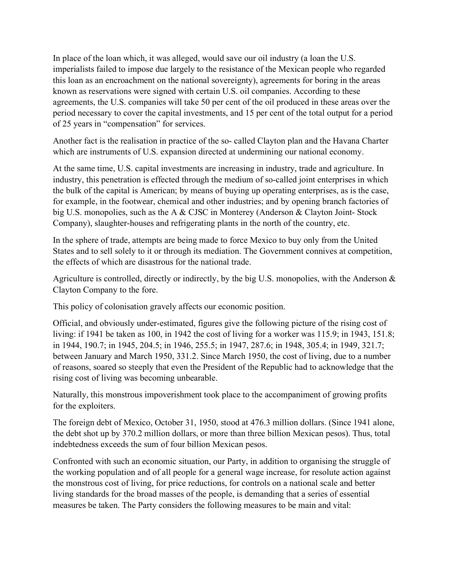In place of the loan which, it was alleged, would save our oil industry (a loan the U.S. imperialists failed to impose due largely to the resistance of the Mexican people who regarded this loan as an encroachment on the national sovereignty), agreements for boring in the areas known as reservations were signed with certain U.S. oil companies. According to these agreements, the U.S. companies will take 50 per cent of the oil produced in these areas over the period necessary to cover the capital investments, and 15 per cent of the total output for a period of 25 years in "compensation" for services.

Another fact is the realisation in practice of the so- called Clayton plan and the Havana Charter which are instruments of U.S. expansion directed at undermining our national economy.

At the same time, U.S. capital investments are increasing in industry, trade and agriculture. In industry, this penetration is effected through the medium of so-called joint enterprises in which the bulk of the capital is American; by means of buying up operating enterprises, as is the case, for example, in the footwear, chemical and other industries; and by opening branch factories of big U.S. monopolies, such as the A & CJSC in Monterey (Anderson & Clayton Joint- Stock Company), slaughter-houses and refrigerating plants in the north of the country, etc.

In the sphere of trade, attempts are being made to force Mexico to buy only from the United States and to sell solely to it or through its mediation. The Government connives at competition, the effects of which are disastrous for the national trade.

Agriculture is controlled, directly or indirectly, by the big U.S. monopolies, with the Anderson & Clayton Company to the fore.

This policy of colonisation gravely affects our economic position.

Official, and obviously under-estimated, figures give the following picture of the rising cost of living: if 1941 be taken as 100, in 1942 the cost of living for a worker was 115.9; in 1943, 151.8; in 1944, 190.7; in 1945, 204.5; in 1946, 255.5; in 1947, 287.6; in 1948, 305.4; in 1949, 321.7; between January and March 1950, 331.2. Since March 1950, the cost of living, due to a number of reasons, soared so steeply that even the President of the Republic had to acknowledge that the rising cost of living was becoming unbearable.

Naturally, this monstrous impoverishment took place to the accompaniment of growing profits for the exploiters.

The foreign debt of Mexico, October 31, 1950, stood at 476.3 million dollars. (Since 1941 alone, the debt shot up by 370.2 million dollars, or more than three billion Mexican pesos). Thus, total indebtedness exceeds the sum of four billion Mexican pesos.

Confronted with such an economic situation, our Party, in addition to organising the struggle of the working population and of all people for a general wage increase, for resolute action against the monstrous cost of living, for price reductions, for controls on a national scale and better living standards for the broad masses of the people, is demanding that a series of essential measures be taken. The Party considers the following measures to be main and vital: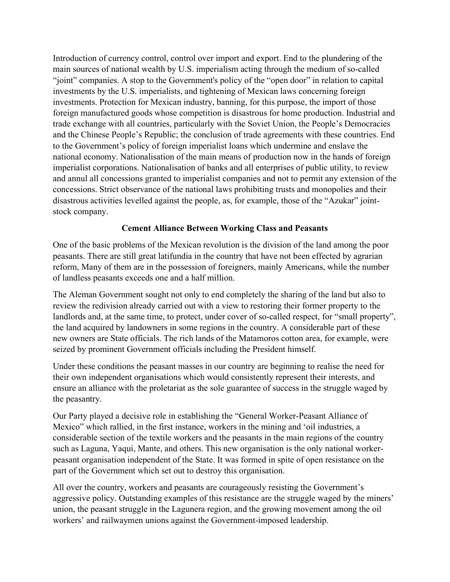Introduction of currency control, control over import and export. End to the plundering of the main sources of national wealth by U.S. imperialism acting through the medium of so-called "joint" companies. A stop to the Government's policy of the "open door" in relation to capital investments by the U.S. imperialists, and tightening of Mexican laws concerning foreign investments. Protection for Mexican industry, banning, for this purpose, the import of those foreign manufactured goods whose competition is disastrous for home production. Industrial and trade exchange with all countries, particularly with the Soviet Union, the People's Democracies and the Chinese People's Republic; the conclusion of trade agreements with these countries. End to the Government's policy of foreign imperialist loans which undermine and enslave the national economy. Nationalisation of the main means of production now in the hands of foreign imperialist corporations. Nationalisation of banks and all enterprises of public utility, to review and annul all concessions granted to imperialist companies and not to permit any extension of the concessions. Strict observance of the national laws prohibiting trusts and monopolies and their disastrous activities levelled against the people, as, for example, those of the "Azukar" jointstock company.

### **Cement Alliance Between Working Class and Peasants**

One of the basic problems of the Mexican revolution is the division of the land among the poor peasants. There are still great latifundia in the country that have not been effected by agrarian reform, Many of them are in the possession of foreigners, mainly Americans, while the number of landless peasants exceeds one and a half million.

The Aleman Government sought not only to end completely the sharing of the land but also to review the redivision already carried out with a view to restoring their former property to the landlords and, at the same time, to protect, under cover of so-called respect, for "small property", the land acquired by landowners in some regions in the country. A considerable part of these new owners are State officials. The rich lands of the Matamoros cotton area, for example, were seized by prominent Government officials including the President himself.

Under these conditions the peasant masses in our country are beginning to realise the need for their own independent organisations which would consistently represent their interests, and ensure an alliance with the proletariat as the sole guarantee of success in the struggle waged by the peasantry.

Our Party played a decisive role in establishing the "General Worker-Peasant Alliance of Mexico" which rallied, in the first instance, workers in the mining and 'oil industries, a considerable section of the textile workers and the peasants in the main regions of the country such as Laguna, Yaqui, Mante, and others. This new organisation is the only national workerpeasant organisation independent of the State. It was formed in spite of open resistance on the part of the Government which set out to destroy this organisation.

All over the country, workers and peasants are courageously resisting the Government's aggressive policy. Outstanding examples of this resistance are the struggle waged by the miners' union, the peasant struggle in the Lagunera region, and the growing movement among the oil workers' and railwaymen unions against the Government-imposed leadership.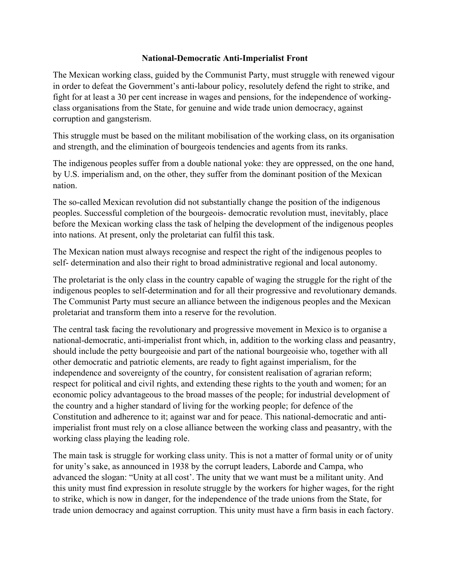#### **National-Democratic Anti-Imperialist Front**

The Mexican working class, guided by the Communist Party, must struggle with renewed vigour in order to defeat the Government's anti-labour policy, resolutely defend the right to strike, and fight for at least a 30 per cent increase in wages and pensions, for the independence of workingclass organisations from the State, for genuine and wide trade union democracy, against corruption and gangsterism.

This struggle must be based on the militant mobilisation of the working class, on its organisation and strength, and the elimination of bourgeois tendencies and agents from its ranks.

The indigenous peoples suffer from a double national yoke: they are oppressed, on the one hand, by U.S. imperialism and, on the other, they suffer from the dominant position of the Mexican nation.

The so-called Mexican revolution did not substantially change the position of the indigenous peoples. Successful completion of the bourgeois- democratic revolution must, inevitably, place before the Mexican working class the task of helping the development of the indigenous peoples into nations. At present, only the proletariat can fulfil this task.

The Mexican nation must always recognise and respect the right of the indigenous peoples to self- determination and also their right to broad administrative regional and local autonomy.

The proletariat is the only class in the country capable of waging the struggle for the right of the indigenous peoples to self-determination and for all their progressive and revolutionary demands. The Communist Party must secure an alliance between the indigenous peoples and the Mexican proletariat and transform them into a reserve for the revolution.

The central task facing the revolutionary and progressive movement in Mexico is to organise a national-democratic, anti-imperialist front which, in, addition to the working class and peasantry, should include the petty bourgeoisie and part of the national bourgeoisie who, together with all other democratic and patriotic elements, are ready to fight against imperialism, for the independence and sovereignty of the country, for consistent realisation of agrarian reform; respect for political and civil rights, and extending these rights to the youth and women; for an economic policy advantageous to the broad masses of the people; for industrial development of the country and a higher standard of living for the working people; for defence of the Constitution and adherence to it; against war and for peace. This national-democratic and antiimperialist front must rely on a close alliance between the working class and peasantry, with the working class playing the leading role.

The main task is struggle for working class unity. This is not a matter of formal unity or of unity for unity's sake, as announced in 1938 by the corrupt leaders, Laborde and Campa, who advanced the slogan: "Unity at all cost'. The unity that we want must be a militant unity. And this unity must find expression in resolute struggle by the workers for higher wages, for the right to strike, which is now in danger, for the independence of the trade unions from the State, for trade union democracy and against corruption. This unity must have a firm basis in each factory.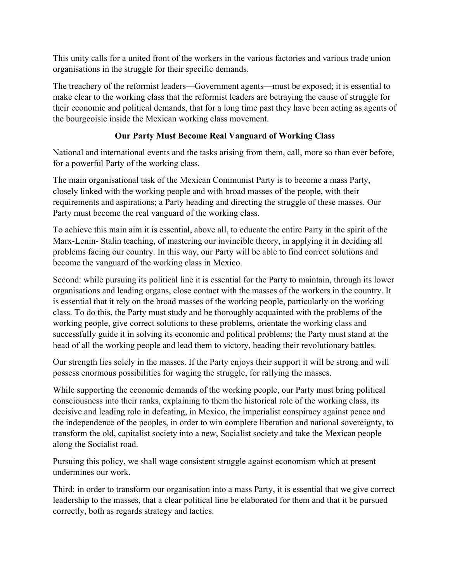This unity calls for a united front of the workers in the various factories and various trade union organisations in the struggle for their specific demands.

The treachery of the reformist leaders—Government agents—must be exposed; it is essential to make clear to the working class that the reformist leaders are betraying the cause of struggle for their economic and political demands, that for a long time past they have been acting as agents of the bourgeoisie inside the Mexican working class movement.

## **Our Party Must Become Real Vanguard of Working Class**

National and international events and the tasks arising from them, call, more so than ever before, for a powerful Party of the working class.

The main organisational task of the Mexican Communist Party is to become a mass Party, closely linked with the working people and with broad masses of the people, with their requirements and aspirations; a Party heading and directing the struggle of these masses. Our Party must become the real vanguard of the working class.

To achieve this main aim it is essential, above all, to educate the entire Party in the spirit of the Marx-Lenin- Stalin teaching, of mastering our invincible theory, in applying it in deciding all problems facing our country. In this way, our Party will be able to find correct solutions and become the vanguard of the working class in Mexico.

Second: while pursuing its political line it is essential for the Party to maintain, through its lower organisations and leading organs, close contact with the masses of the workers in the country. It is essential that it rely on the broad masses of the working people, particularly on the working class. To do this, the Party must study and be thoroughly acquainted with the problems of the working people, give correct solutions to these problems, orientate the working class and successfully guide it in solving its economic and political problems; the Party must stand at the head of all the working people and lead them to victory, heading their revolutionary battles.

Our strength lies solely in the masses. If the Party enjoys their support it will be strong and will possess enormous possibilities for waging the struggle, for rallying the masses.

While supporting the economic demands of the working people, our Party must bring political consciousness into their ranks, explaining to them the historical role of the working class, its decisive and leading role in defeating, in Mexico, the imperialist conspiracy against peace and the independence of the peoples, in order to win complete liberation and national sovereignty, to transform the old, capitalist society into a new, Socialist society and take the Mexican people along the Socialist road.

Pursuing this policy, we shall wage consistent struggle against economism which at present undermines our work.

Third: in order to transform our organisation into a mass Party, it is essential that we give correct leadership to the masses, that a clear political line be elaborated for them and that it be pursued correctly, both as regards strategy and tactics.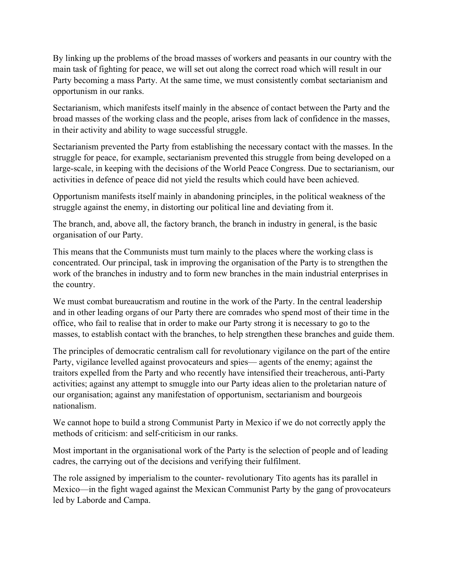By linking up the problems of the broad masses of workers and peasants in our country with the main task of fighting for peace, we will set out along the correct road which will result in our Party becoming a mass Party. At the same time, we must consistently combat sectarianism and opportunism in our ranks.

Sectarianism, which manifests itself mainly in the absence of contact between the Party and the broad masses of the working class and the people, arises from lack of confidence in the masses, in their activity and ability to wage successful struggle.

Sectarianism prevented the Party from establishing the necessary contact with the masses. In the struggle for peace, for example, sectarianism prevented this struggle from being developed on a large-scale, in keeping with the decisions of the World Peace Congress. Due to sectarianism, our activities in defence of peace did not yield the results which could have been achieved.

Opportunism manifests itself mainly in abandoning principles, in the political weakness of the struggle against the enemy, in distorting our political line and deviating from it.

The branch, and, above all, the factory branch, the branch in industry in general, is the basic organisation of our Party.

This means that the Communists must turn mainly to the places where the working class is concentrated. Our principal, task in improving the organisation of the Party is to strengthen the work of the branches in industry and to form new branches in the main industrial enterprises in the country.

We must combat bureaucratism and routine in the work of the Party. In the central leadership and in other leading organs of our Party there are comrades who spend most of their time in the office, who fail to realise that in order to make our Party strong it is necessary to go to the masses, to establish contact with the branches, to help strengthen these branches and guide them.

The principles of democratic centralism call for revolutionary vigilance on the part of the entire Party, vigilance levelled against provocateurs and spies— agents of the enemy; against the traitors expelled from the Party and who recently have intensified their treacherous, anti-Party activities; against any attempt to smuggle into our Party ideas alien to the proletarian nature of our organisation; against any manifestation of opportunism, sectarianism and bourgeois nationalism.

We cannot hope to build a strong Communist Party in Mexico if we do not correctly apply the methods of criticism: and self-criticism in our ranks.

Most important in the organisational work of the Party is the selection of people and of leading cadres, the carrying out of the decisions and verifying their fulfilment.

The role assigned by imperialism to the counter- revolutionary Tito agents has its parallel in Mexico—in the fight waged against the Mexican Communist Party by the gang of provocateurs led by Laborde and Campa.